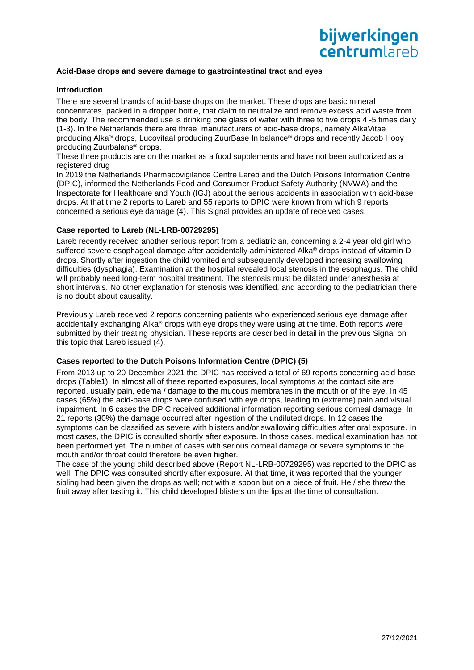# bijwerkingen **centrum** areh

## **Acid-Base drops and severe damage to gastrointestinal tract and eyes**

## **Introduction**

There are several brands of acid-base drops on the market. These drops are basic mineral concentrates, packed in a dropper bottle, that claim to neutralize and remove excess acid waste from the body. The recommended use is drinking one glass of water with three to five drops 4 -5 times daily (1-3). In the Netherlands there are three manufacturers of acid-base drops, namely AlkaVitae producing Alka® drops, Lucovitaal producing ZuurBase In balance® drops and recently Jacob Hooy producing Zuurbalans® drops.

These three products are on the market as a food supplements and have not been authorized as a registered drug

In 2019 the Netherlands Pharmacovigilance Centre Lareb and the Dutch Poisons Information Centre (DPIC), informed the Netherlands Food and Consumer Product Safety Authority (NVWA) and the Inspectorate for Healthcare and Youth (IGJ) about the serious accidents in association with acid-base drops. At that time 2 reports to Lareb and 55 reports to DPIC were known from which 9 reports concerned a serious eye damage (4). This Signal provides an update of received cases.

### **Case reported to Lareb (NL-LRB-00729295)**

Lareb recently received another serious report from a pediatrician, concerning a 2-4 year old girl who suffered severe esophageal damage after accidentally administered Alka® drops instead of vitamin D drops. Shortly after ingestion the child vomited and subsequently developed increasing swallowing difficulties (dysphagia). Examination at the hospital revealed local stenosis in the esophagus. The child will probably need long-term hospital treatment. The stenosis must be dilated under anesthesia at short intervals. No other explanation for stenosis was identified, and according to the pediatrician there is no doubt about causality.

Previously Lareb received 2 reports concerning patients who experienced serious eye damage after accidentally exchanging Alka<sup>®</sup> drops with eye drops they were using at the time. Both reports were submitted by their treating physician. These reports are described in detail in the previous Signal on this topic that Lareb issued (4).

# **Cases reported to the Dutch Poisons Information Centre (DPIC) (5)**

From 2013 up to 20 December 2021 the DPIC has received a total of 69 reports concerning acid-base drops (Table1). In almost all of these reported exposures, local symptoms at the contact site are reported, usually pain, edema / damage to the mucous membranes in the mouth or of the eye. In 45 cases (65%) the acid-base drops were confused with eye drops, leading to (extreme) pain and visual impairment. In 6 cases the DPIC received additional information reporting serious corneal damage. In 21 reports (30%) the damage occurred after ingestion of the undiluted drops. In 12 cases the symptoms can be classified as severe with blisters and/or swallowing difficulties after oral exposure. In most cases, the DPIC is consulted shortly after exposure. In those cases, medical examination has not been performed yet. The number of cases with serious corneal damage or severe symptoms to the mouth and/or throat could therefore be even higher.

The case of the young child described above (Report NL-LRB-00729295) was reported to the DPIC as well. The DPIC was consulted shortly after exposure. At that time, it was reported that the younger sibling had been given the drops as well; not with a spoon but on a piece of fruit. He / she threw the fruit away after tasting it. This child developed blisters on the lips at the time of consultation.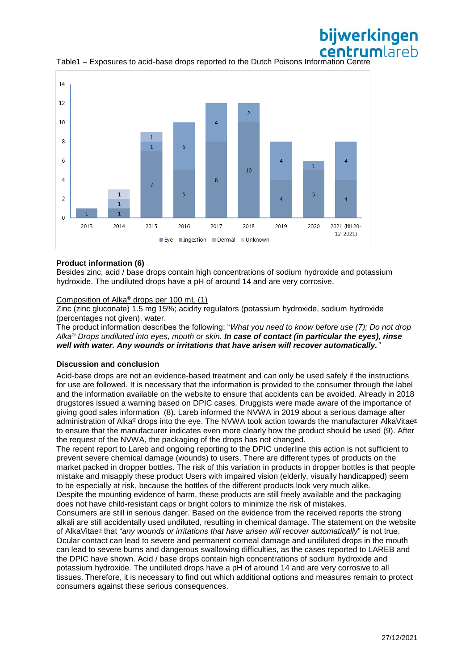

Table1 – Exposures to acid-base drops reported to the Dutch Poisons Information Centre

### **Product information (6)**

Besides zinc, acid / base drops contain high concentrations of sodium hydroxide and potassium hydroxide. The undiluted drops have a pH of around 14 and are very corrosive.

# Composition of Alka® drops per 100 mL (1)

Zinc (zinc gluconate) 1.5 mg 15%; acidity regulators (potassium hydroxide, sodium hydroxide (percentages not given), water.

The product information describes the following: "*What you need to know before use (7); Do not drop Alka® Drops undiluted into eyes, mouth or skin. In case of contact (in particular the eyes), rinse well with water. Any wounds or irritations that have arisen will recover automatically."*

#### **Discussion and conclusion**

Acid-base drops are not an evidence-based treatment and can only be used safely if the instructions for use are followed. It is necessary that the information is provided to the consumer through the label and the information available on the website to ensure that accidents can be avoided. Already in 2018 drugstores issued a warning based on DPIC cases. Druggists were made aware of the importance of giving good sales information (8). Lareb informed the NVWA in 2019 about a serious damage after administration of Alka® drops into the eye. The NVWA took action towards the manufacturer AlkaVitae® to ensure that the manufacturer indicates even more clearly how the product should be used (9). After the request of the NVWA, the packaging of the drops has not changed.

The recent report to Lareb and ongoing reporting to the DPIC underline this action is not sufficient to prevent severe chemical damage (wounds) to users. There are different types of products on the market packed in dropper bottles. The risk of this variation in products in dropper bottles is that people mistake and misapply these product Users with impaired vision (elderly, visually handicapped) seem to be especially at risk, because the bottles of the different products look very much alike.

Despite the mounting evidence of harm, these products are still freely available and the packaging does not have child-resistant caps or bright colors to minimize the risk of mistakes.

Consumers are still in serious danger. Based on the evidence from the received reports the strong alkali are still accidentally used undiluted, resulting in chemical damage. The statement on the website of AlkaVitae® that "*any wounds or irritations that have arisen will recover automatically*" is not true. Ocular contact can lead to severe and permanent corneal damage and undiluted drops in the mouth can lead to severe burns and dangerous swallowing difficulties, as the cases reported to LAREB and the DPIC have shown. Acid / base drops contain high concentrations of sodium hydroxide and potassium hydroxide. The undiluted drops have a pH of around 14 and are very corrosive to all tissues. Therefore, it is necessary to find out which additional options and measures remain to protect consumers against these serious consequences.

bijwerkingen centrumlareh